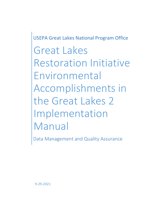USEPA Great Lakes National Program Office

Great Lakes Restoration Initiative Environmental Accomplishments in the Great Lakes 2 Implementation Manual

<span id="page-0-0"></span>Data Management and Quality Assurance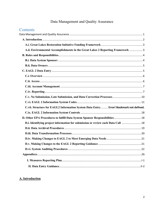# Data Management and Quality Assurance

# Contents

| A.ii. Environmental Accomplishments in the Great Lakes 2 Reporting Framework  3       |  |
|---------------------------------------------------------------------------------------|--|
|                                                                                       |  |
|                                                                                       |  |
|                                                                                       |  |
|                                                                                       |  |
|                                                                                       |  |
|                                                                                       |  |
|                                                                                       |  |
|                                                                                       |  |
|                                                                                       |  |
|                                                                                       |  |
| C.vii. Structure for EAGL2 Information System Data Entry Error! Bookmark not defined. |  |
|                                                                                       |  |
|                                                                                       |  |
| D.i. Identifying project information for submission or review each Data Call  18      |  |
|                                                                                       |  |
|                                                                                       |  |
|                                                                                       |  |
|                                                                                       |  |
|                                                                                       |  |
|                                                                                       |  |
|                                                                                       |  |
|                                                                                       |  |

# <span id="page-1-0"></span>A. Introduction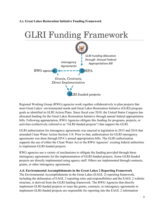#### <span id="page-2-0"></span>**A.i. Great Lakes Restoration Initiative Funding Framework**

# **GLRI Funding Framework**



Regional Working Group (RWG) agencies work together collaboratively to plan projects that meet Great Lakes' environmental needs and Great Lakes Restoration Initiative (GLRI) program goals as identified in GLRI Action Plans. Since fiscal year 2010, the United States Congress has allocated funding for the Great Lakes Restoration Initiative through annual federal appropriation bills. Following appropriation, RWG Agencies obligate this funding for programs, projects, or activities (collectively referred to as "GLRI-funded projects") that support the GLRI.

GLRI authorization for interagency agreements was enacted in legislation in 2015 and 2016 that amended Clean Water Action Section 118. Prior to that, authorization for GLRI interagency agreements was done through EPA's annual appropriation bills. The GLRI authorization supports the use of either the Clean Water Act or the RWG Agencies' existing federal authorities to implement GLRI-funded projects.

RWG agencies use a variety of mechanisms to obligate the funding provided through these interagency agreements for the implementation of GLRI-funded projects. Some GLRI-funded projects are directly implemented using agency staff. Others are implemented through contracts, grants, or other interagency agreements.

#### <span id="page-2-1"></span>**A.ii. Environmental Accomplishments in the Great Lakes 2 Reporting Framework**

The Environmental Accomplishments in the Great Lakes (EAGL 2) reporting framework, including the delineation of EAGL 2 reporting roles and responsibilities and the EAGL 2 website structure, is derived from the GLRI funding framework. The RWG Agencies that directly implement GLRI-funded projects or issue the grants, contracts, or interagency agreements to implement GLRI-funded projects are responsible for reporting into the EAGL 2 information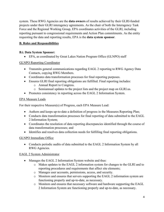system. These RWG Agencies are the **data owners** of results achieved by their GLRI-funded projects under their GLRI interagency agreements. As the chair of both the Interagency Task Force and the Regional Working Group, EPA coordinates activities of the GLRI, including reporting pursuant to congressional requirements and Action Plan commitments. As the entity requesting the data and reporting results, EPA is the **data system sponsor**.

# <span id="page-3-0"></span>**B. Roles and Responsibilities**

#### <span id="page-3-1"></span>**B.i. Data System Sponsor:**

• EPA, as coordinated by Great Lakes Nation Program Office (GLNPO) staff

#### GLNPO Reporting Coordinator

- Transmits general communications regarding EAGL 2 reporting to RWG Agency Data Contacts, copying RWG Members.
- Coordinates data transformation processes for final reporting purposes.
- Ensures GLRI final reporting obligations are fulfilled. Final reporting includes:
	- o Annual Report to Congress.
	- o Semiannual updates to the project lists and the project map on GLRI.us.
- Promotes consistency in reporting across the EAGL 2 Information System.

#### EPA Measure Leads

For their respective Measure(s) of Progress, each EPA Measure Lead:

- Authors and keeps up-to-date a definition of progress in the Measures Reporting Plan;
- Conducts data transformation processes for final reporting of data submitted to the EAGL 2 Information System;
- Coordinates the resolution of data reporting discrepancies identified through the course of data transformation processes; and
- Identifies and resolves data collection needs for fulfilling final reporting obligations.

# GLNPO Immediate Office

• Conducts periodic audits of data submitted to the EAGL 2 Information System by all RWG Agencies.

# EAGL 2 System Administrator

- Manages the EAGL 2 Information System website and thus:
	- o Makes updates to the EAGL 2 information system for changes to the GLRI and to reporting procedures and requirements that affect site elements;
	- o Manages user accounts, permissions, access, and security.
	- o Monitors and ensures that servers supporting the EAGL 2 information system are functioning properly and up-to-date, as necessary.
	- o Monitors and ensures that necessary software and hardware supporting the EAGL 2 Information System are functioning properly and up-to-date, as necessary.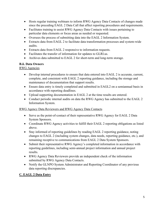- Hosts regular training webinars to inform RWG Agency Data Contacts of changes made since the preceding EAGL 2 Data Call that affect reporting procedures and requirements.
- Facilitates training to assist RWG Agency Data Contacts with issues pertaining to particular data elements or focus areas as needed or requested.
- Oversees the process of submitting data into the EAGL 2 Information System.
- Extracts data from EAGL 2 to facilitate data transformation processes and system-wide audits.
- Extracts data from EAGL 2 responsive to information requests.
- Facilitates the transfer of information for updates to GLRI.us.
- Archives data submitted to EAGL 2 for short-term and long-term storage.

# <span id="page-4-0"></span>**B.ii. Data Owners**

# RWG Agencies

- Develop internal procedures to ensure that data entered into EAGL 2 is accurate, current, complete, and consistent with EAGL 2 reporting guidance, including the storage and maintenance of documentation that support results.
- Ensure data entry is timely completed and submitted in EAGL2 on a semiannual basis in accordance with reporting deadlines.
- Upload supporting documentation in EAGL 2 at the time results are entered.
- Conduct periodic internal audits on data the RWG Agency has submitted to the EAGL 2 Information System.

# RWG Agency Data Reviewers and RWG Agency Data Contacts

- Serve as the point-of-contact of their representative RWG Agency for EAGL 2 Data System Sponsors.
- Coordinate RWG Agency activities to fulfill their EAGL 2 reporting obligations as listed above.
- Stay informed of reporting guidelines by reading EAGL 2 reporting guidance, noting changes to EAGL 2 (including system changes, data needs, reporting guidance, etc.), and remaining receptive to communications from EAGL 2 Data System Sponsors.
- Submit their representative RWG Agency's completed information in accordance with reporting guidelines, including semi-annual project information and annual project results.
- RWG Agency Data Reviewers provide an independent check of the information submitted by RWG Agency Data Contacts.
- Notify the GLNPO System Administrator and Reporting Coordinator of any previous data reporting discrepancies.

# <span id="page-4-1"></span>**C. EAGL 2 Data Entry**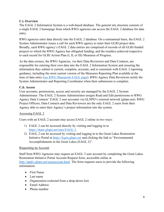# <span id="page-5-0"></span>**C.i. Overview**

The EAGL 2 Information System is a web-based database. The general site structure consists of a single EAGL 2 homepage from which RWG agencies can access the EAGL 2 database for data entry.

RWG agencies enter data directly into the EAGL 2 database. On a semiannual basis, the EAGL 2 System Administrator issues a call for each RWG agency to enter their GLRI project data. Broadly, each RWG agency's EAGL 2 data entries are comprised of records of all GLRI-funded projects to which the RWG Agency has obligated funding, and the result(s) achieved respective to each record for GLRI Action Plan (I, II, or III) Measures of Progress.

As the data owners, the RWG Agencies, via their Data Reviewers and Data Contacts, are responsible for entering their own data into the EAGL 2 Information System and ensuring the information they submit is current, complete, accurate, and is consistent with EAGL 2 reporting guidance, including the most current version of the Measures Reporting Plan available at the time of data entry [\(see RWG Sharepoint EAGL page\)](https://usepa.sharepoint.com/:f:/r/sites/R5_Work/glri_rwg/Historical%20Key%20Documents/EAGL?csf=1&web=1&e=iPmtqW). RWG Agency Data Reviewers notify the System Administrator and Reporting Coordinator when their submission is complete.

# <span id="page-5-1"></span>**C.ii. Access**

User accounts, permissions, access and security are managed by the EAGL 2 System Administrator. The EAGL 2 System Administrator assigns Read and Edit permissions to RWG Agency Data Contacts' EAGL 2 user accounts via GLNPO's external network (glnpo.net). RWG Project Officers, Data Contacts and Data Reviewers are the only EAGL 2 users from their Agency able to enter their Agency's project information into the system.

# Accessing EAGL 2

Users with an EAGL 2 account may access EAGL 2 online in two ways:

- 1) EAGL 2 can be accessed directly by visiting and logging in to [https://share.glnpo.net/sites/EAGL 2.](https://share.glnpo.net/sites/eagl)
- 2) EAGL 2 can be accessed by visiting and logging in to the Great Lakes Restoration Initiative Portal at [https://login.glnpo.net](https://login.glnpo.net/) and clicking the link to "Environmental Accomplishments in the Great Lakes (EAGL 2)".

#### Requesting an Account

Staff from RWG Agencies may request an EAGL 2 user account by completing the Great Lakes Restoration Initiative Portal Account Request form, accessible online at [http://apply.glnpo.net/useraccount.html.](http://apply.glnpo.net/useraccount.html) The form requests users to provide the following information:

- First Name
- Last name
- Organization (selected from a drop-down list)
- Email Address
- Phone number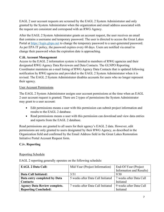EAGL 2 user account requests are screened by the EAGL 2 System Administrator and only granted by the System Administrator when the organization and email address associated with the request are consistent and correspond with an RWG Agency.

After the EAGL 2 System Administrator grants an account request, the user receives an email that contains a username and temporary password. The user is directed to access the Great Lakes Portal at [https://login.glnpo.net](https://login.glnpo.net/) to change the temporary password to a user-generated password. As per EPA IT policy, the password expires every 60 days. Users are notified via email to change their password when the expiration date is approaching.

# <span id="page-6-0"></span>**C.iii. Account Management**

Access to the EAGL 2 information system is limited to members of RWG agencies and their designated RWG Agency Data Reviewers and Data Contacts. The GLNPO Reporting Coordinator maintains an e-mail listing of RWG Agency Data Contacts that is updated following notification by RWG agencies and provided to the EAGL 2 System Administrator when it is revised. The EAGL 2 System Administrator disables accounts for users who no longer represent their agency.

# User Account Permissions

The EAGL 2 System Administrator assigns user account permissions at the time when an EAGL 2 user account request is granted. There are 2 types of permissions the System Administrator may grant to a user account:

- Edit permissions means a user with this permission can submit project information and results to the EAGL 2 database.
- Read permissions means a user with this permission can download and view data entries and reports from the EAGL 2 database.

Read permissions are granted to all users for their agency's EAGL 2 data. However, edit permissions are only granted to users designated by their RWG Agency, as described in the Organization field and confirmed by the Email Address field in the Great Lakes Restoration Initiative Portal Account Request form.

# <span id="page-6-1"></span>**C.iv. Reporting**

# Reporting Schedule

EAGL 2 reporting generally operates on the following schedule:

| <b>EAGL 2 Data Call:</b>            | Mid-Year (Project Information)    | End-Of-Year (Project     |
|-------------------------------------|-----------------------------------|--------------------------|
|                                     |                                   | Information and Results) |
| Data Call Initiated:                | 3/31                              | 9/30                     |
| Data entry completed by Data        | 5 weeks after Data Call Initiated | 7 weeks after Data Call  |
| <b>Contacts:</b>                    |                                   | Initiated                |
| <b>Agency Data Review complete.</b> | 7 weeks after Data Call Initiated | 9 weeks after Data Call  |
| <b>Reporting Concluded:</b>         |                                   | Initiated                |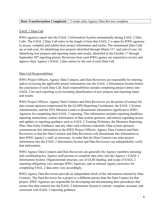#### EAGL 2 Data Call

RWG agencies report into the EAGL 2 Information System semiannually during EAGL 2 Data Calls. The EAGL 2 Data Call refers to the length of time that EAGL 2 is open for RWG agencies to access, complete and submit their project information and results. The semiannual Data Calls are at mid-year, for identifying new projects identified through March 31<sup>st</sup>, and end-of-year, for identifying new projects and reporting status and results, identified in the October 1<sup>st</sup> through September 30<sup>th</sup> reporting period. Reviewers from each RWG agency are expected to review and approve their Agency's EAGL 2 data entries by the end of each Data Call.

#### Data Call Responsibilities

RWG Project Officers, Agency Data Contacts, and Data Reviewers are responsible for entering and/or reviewing the applicable project information into the EAGL 2 Information System before the conclusion of each Data Call. Such responsibilities include completing project entries into EAGL 2 for each reporting cycle including identification of new projects and reporting status and results.

RWG Project Officers, Agency Data Contacts and Data Reviewers are the points-of-contact for data system sponsors (represented by the GLNPO Reporting Coordinator, the EAGL 2 System Administrator, and the EPA Measure Leads) to disseminate information significant to RWG Agencies for completing their EAGL 2 reporting. This information includes reporting deadlines, reporting instructions, contact information of data system sponsors, and notices regarding access and updates to reporting guidance such as EAGL 2 Training Webinars, the Measures Reporting Plan, Data Entry Guidance, and any other such reference materials. Data system sponsors communicate this information to the RWG Project Officers, Agency Data Contacts and Data Reviewers so that the Data Contacts and Data Reviewers will disseminate this information to their RWG Agency's staff, as necessary, in order that the Data Contacts can enter project information into the EAGL 2 Information System and Data Reviewers can independently verify that information.

RWG Agency Data Contacts and Data Reviewers are generally the Agency members initiating and coordinating key Agency staff persons to complete data entry into the Agency's EAGL 2 Information System. Organizational structure, use of GLRI funding, and scope of EAGL 2 reporting obligations vary amongst RWG Agencies, and so internal Agency processes for completing EAGL 2 data entry vary accordingly.

RWG Agency Data Reviewers provide an independent check of the information entered by Data Contacts. The Data Reviewer for a project is a different person than the Data Contact for that project. RWG Agencies are responsible for developing and documenting their procedures that ensure that data entered into the EAGL 2 Information System is current, complete, accurate, and consistent with EAGL 2 reporting guidance.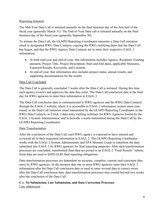# Reporting Initiated

The Mid-Year Data Call is initiated annually on the final business day of the first half of the fiscal year (generally March 31). The End-of-Year Data call is initiated annually on the final business day of the fiscal year (generally September 30).

To initiate the Data Call, the GLNPO Reporting Coordinator transmits a Data Call initiation email to designated RWG Data Contacts, copying the RWG, notifying them that the Data Call has begun, and that the RWG Agency Data Contacts are to enter their respective EAGL 2 information.

- At both mid-year and end-of-year, that information includes Agency, Recipient, Funding amounts, Project Title, Project Description, Start and End dates, applicable Measures, Expected Results, Keywords, and Location.
- At end-of-year, that information also includes project status, annual results, and supporting documentation for the results.

#### Data Call Concluded

The Data Call is generally concluded 7 weeks after the Data Call is initiated. During this time each agency reviews and approves the data they enter. The Data Call conclusion date is the final day for RWG agencies to enter their information in EAGL 2.

The Data Call conclusion date is communicated to RWG agencies and the RWG Data Contacts: through the EAGL 2 website, where it is accessible to EAGL 2 information system users yearround; in the Data Call initiation email transmitted by the GLNPO Reporting Coordinator to the RWG Data Contacts; in EAGL 2 data entry training webinars for RWG Agencies hosted by the EAGL 2 System Administrator; and in periodic e-mails transmitted during the Data Call by the GLNPO Reporting Coordinator.

#### Data Transformation

After the conclusion of the Data Call, each RWG agency is expected to have entered and reviewed all of their requested information in EAGL 2. The GLNPO Reporting Coordinator works with the EAGL 2 System Administrator and EPA Measure Leads to transform the data submitted into EAGL 2 by RWG agencies for final reporting purposes. After data transformation processes are concluded, transformed final data are posted to an EAGL 2 "Final Results" subsite. Final data are used to fulfill GLRI final reporting obligations.

Data transformation processes are dependent on accurate, complete, current, and consistent data entry by RWG agencies. In the instance that one or more RWG agencies enter their EAGL 2 information after the Data Call conclusion date or need to enter revised data to correct errors after the Data Call conclusion date, data transformation processes may extend beyond two weeks after the conclusion of the Data Call.

#### <span id="page-8-0"></span>**C.v. No Submission, Late Submission, and Data Correction Processes**  Late submission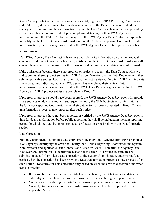RWG Agency Data Contacts are responsible for notifying the GLNPO Reporting Coordinator and EAGL 2 System Administrator five days in advance of the Data Conclusion Date if their agency will be submitting their information beyond the Data Call conclusion date and providing an estimated late submission date. Upon completing data entry of their RWG Agency's information into the EAGL 2 information system, the RWG Agency Data Contact is responsible for notifying the GLNPO System Administrator and the GLNPO Reporting Coordinator. Data transformation processes may proceed after the RWG Agency Data Contact gives such notice.

#### No submission

If an RWG Agency Data Contact fails to save and submit its information before the Data Call is concluded and has not provided a late entry notification, the GLNPO System Administrator will contact them to ascertain reasons for the omission and determine when data entry will be made.

If the omission is because there is no progress or projects to report, the Data Contact will save and submit unaltered project entries in EAGL 2 as confirmation and the Data Reviewer will then submit applicable entries. Upon that submission, the Last Reviewed field in EAGL2 will indicate a new date, thus indicating that the RWG agency has completed their review. Data transformation processes may proceed after the RWG Data Reviewer gives notice that the RWG Agency's EAGL 2 project entries are complete in EAGL 2.

If progress or projects should have been reported, the RWG Agency Data Reviewer will provide a late submission due date and will subsequently notify the GLNPO System Administrator and the GLNPO Reporting Coordinator when their data entry has been completed in EAGL 2. Data transformation processes may proceed after such notice.

If progress or projects have not been reported or verified by the RWG Agency Data Reviewer in time for data transformation before public reporting, they shall be included in the next reporting period for which they can be so reported and verified as described below in the Data Correction section.

#### Data Correction

Promptly upon identification of a data entry error, the individual (whether from EPA or another RWG agency) identifying the error shall notify the GLNPO Reporting Coordinator and System Administrator and applicable Data Contacts and Measure Leads. Thereafter, the Agency Data Reviewer shall promptly: (i) identify the reason for the error, (ii) provide an estimated resubmission date, (iii) provide a data correction to the System Administrator, and (iv) notify all parties when the correction has been provided. Data transformation processes may proceed after such notice. Procedures for data correction vary based on when the error is discovered and what needs correction:

- If a correction is made before the Data Call Conclusion, the Data Contact updates their data entry and the Data Reviewer confirms the correction through a separate entry.
- Corrections made during the Data Transformation process may be done by the Data Contact, Data Reviewer, or System Administrator as applicable if approved by the applicable Measure Lead.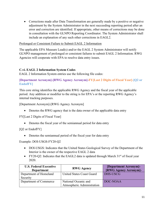• Corrections made after Data Transformation are generally made by a positive or negative adjustment by the System Administrator in the next succeeding reporting period after an error and correction are identified. If appropriate, other means of corrections may be done in consultation with the GLNPO Reporting Coordinator. The System Administrator shall include an explanation of any such other corrections in EAGL2.

#### Prolonged or Consistent Failure to Submit EAGL 2 Information

The applicable EPA Measure Lead(s) and/or the EAGL 2 System Administrator will notify GLNPO management of prolonged or consistent failures to submit EAGL 2 Information. RWG Agencies will cooperate with EPA to resolve data entry issues.

# <span id="page-10-0"></span>**C.vi. EAGL 2 Information System Codes**

EAGL 2 Information System entries use the following file codes:

## **[Department Acronym]-[RWG Agency Acronym]-FY[Last 2 Digits of Fiscal Year]-[Q2 or EndofFY]**

This core string identifies the applicable RWG Agency and the fiscal year of the applicable period. Any addition or modifier to the string is for EPA's or the reporting RWG Agency's internal tracking purposes.

[Department Acronym]-[RWG Agency Acronym]

• Denotes the RWG agency that is the data owner of the applicable data entry

FY[Last 2 Digits of Fiscal Year]

• Denotes the fiscal year of the semiannual period for data entry

[Q2 or EndofFY]

• Denotes the semiannual period of the fiscal year for data entry

Example: DOI-USGS-FY20-Q2

- DOI-USGS: Indicates that the United States Geological Survey of the Department of the Interior is the owner of the respective EAGL 2 data
- FY20-Q2: Indicates that the EAGL2 data is updated through March  $31<sup>st</sup>$  of fiscal year 2020.

| <b>U.S. Federal Executive</b><br><b>Department</b> | <b>RWG Agency</b>                                  |          |
|----------------------------------------------------|----------------------------------------------------|----------|
| Department of Homeland<br>Security                 | United States Coast Guard                          | DHS-USCG |
| Department of Commerce                             | National Oceanic and<br>Atmospheric Administration | DOC-NOAA |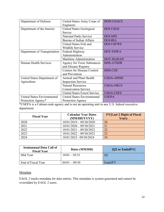| Department of Defense                      | United States Army Corps of<br>Engineers             | <b>DOD-USACE</b>  |
|--------------------------------------------|------------------------------------------------------|-------------------|
| Department of the Interior                 | <b>United States Geological</b><br>Survey            | <b>DOI-USGS</b>   |
|                                            | <b>National Parks Service</b>                        | <b>DOI-NPS</b>    |
|                                            | Bureau of Indian Affairs                             | <b>DOI-BIA</b>    |
|                                            | United States Fish and<br>Wildlife Service           | <b>DOI-USFWS</b>  |
| Department of Transportation               | Federal Highway<br>Administration                    | <b>DOT-FHWA</b>   |
|                                            | Maritime Administration                              | <b>DOT-MARAD</b>  |
| Human Health Services                      | <b>Agency for Toxic Substances</b>                   | <b>HHS-ATSDR</b>  |
|                                            | and Disease Registry                                 |                   |
|                                            | <b>Centers for Disease Control</b><br>and Prevention | <b>HHS-CDC</b>    |
| United States Department of<br>Agriculture | Animal and Plant Health<br><b>Inspection Service</b> | <b>USDA-APHIS</b> |
|                                            | <b>Natural Resources</b>                             | <b>USDA-NRCS</b>  |
|                                            | <b>Conservation Service</b>                          |                   |
|                                            | <b>United States Forest Service</b>                  | <b>USDA-USFS</b>  |
| <b>United States Environmental</b>         | <b>United States Environmental</b>                   | <b>USEPA</b>      |
| Protection Agency*                         | Protection Agency                                    |                   |

\*USEPA is a Cabinet-rank agency and is not an operating unit in any U.S. federal executive department

| <b>Fiscal Year</b> | <b>Calendar Year Dates</b><br>(MM/DD/YYYY) | <b>FY</b> [Last 2 Digits of Fiscal]<br>Year- |
|--------------------|--------------------------------------------|----------------------------------------------|
| 2020               | $10/01/2019 - 09/30/2020$                  | 20                                           |
| 2021               | $10/01/2020 - 09/30/2021$                  | 21                                           |
| 2022               | $10/01/2021 - 09/20/2022$                  | 22                                           |
| 2023               | $10/01/2022 - 09/30/2023$                  | 23                                           |
| 2024               | 10/01/2023-09/30/2024                      | 24                                           |

| <b>Semiannual Data Call of</b><br><b>Fiscal Year</b> | Dates (MM/DD)   | $[Q2 \text{ or EndoffY}]$ |
|------------------------------------------------------|-----------------|---------------------------|
| Mid Year                                             | $10/01 - 03/31$ |                           |
| End of Fiscal Year                                   | $04/01 - 09/30$ | EndofFY                   |

#### Metadata

EAGL 2 tracks metadata for data entries. This metadata is system-generated and cannot be overridden by EAGL 2 users.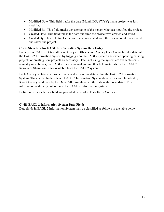- Modified Date. This field tracks the date (Month DD, YYYY) that a project was last modified.
- Modified By. This field tracks the username of the person who last modified the project.
- Created Date. This field tracks the date and time the project was created and saved.
- Created By. This field tracks the username associated with the user account that created and saved the project.

#### **C.v.ii. Structure for EAGL 2 Information System Data Entry**

For a given EAGL 2 Data Call, RWG Project Officers and Agency Data Contacts enter data into the EAGL 2 Information System by logging into the EAGL2 system and either updating existing projects or creating new projects as necessary. Details of using the system are available semiannually in webinars, the EAGL2 User's manual and in other help materials on the EAGL2 Resources SharePoint site (available from the EAGL2 system.

Each Agency's Data Reviewers review and affirm this data within the EAGL 2 Information System. Thus, at the highest level, EAGL 2 Information System data entries are classified by RWG Agency, and then by the Data Call through which the data within is updated. This information is directly entered into the EAGL 2 Information System.

Definitions for each data field are provided in detail in Data Entry Guidance.

#### **C.viii. EAGL 2 Information System Data Fields**

Data fields in EAGL 2 Information System may be classified as follows in the table below: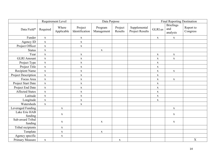|                             |              | Requirement Level   | Data Purpose              |                       |                    | <b>Final Reporting Destination</b> |             |                                     |                       |
|-----------------------------|--------------|---------------------|---------------------------|-----------------------|--------------------|------------------------------------|-------------|-------------------------------------|-----------------------|
| Data Field*                 | Required     | Where<br>Applicable | Project<br>Identification | Program<br>Management | Project<br>Results | Supplemental<br>Project Results    | GLRI.us     | <b>Briefings</b><br>and<br>analysis | Report to<br>Congress |
| Funder                      | $\mathbf X$  |                     | $\mathbf X$               |                       |                    |                                    | $\mathbf X$ | $\mathbf X$                         |                       |
| Agency ID                   | $\mathbf X$  |                     | $\mathbf X$               |                       |                    |                                    |             |                                     |                       |
| Project Officer             | $\mathbf X$  |                     | $\mathbf X$               |                       |                    |                                    |             |                                     |                       |
| <b>Status</b>               | $\mathbf X$  |                     |                           | $\mathbf X$           |                    |                                    |             |                                     |                       |
| Year                        | $\mathbf X$  |                     | $\mathbf X$               |                       |                    |                                    | $\mathbf X$ | $\mathbf X$                         |                       |
| <b>GLRI</b> Amount          | $\mathbf X$  |                     | $\mathbf X$               |                       |                    |                                    | $\mathbf X$ | $\mathbf X$                         |                       |
| Project Type                | $\mathbf X$  |                     | $\mathbf X$               |                       |                    |                                    | $\mathbf X$ |                                     |                       |
| Project Title               | $\mathbf{X}$ |                     | $\mathbf X$               |                       |                    |                                    | $\mathbf X$ |                                     |                       |
| Recipient Name              | $\mathbf X$  |                     | $\mathbf X$               |                       |                    |                                    | $\mathbf X$ | $\mathbf X$                         |                       |
| Project Description         | $\mathbf X$  |                     | $\mathbf X$               |                       |                    |                                    | $\mathbf X$ |                                     |                       |
| Focus Area                  | $\mathbf X$  |                     | $\mathbf X$               |                       |                    |                                    | $\mathbf X$ | $\mathbf X$                         |                       |
| Project Start Date          | $\mathbf X$  |                     | $\mathbf X$               |                       |                    |                                    | $\mathbf X$ |                                     |                       |
| Project End Date            | $\mathbf X$  |                     | $\mathbf X$               |                       |                    |                                    | $\mathbf X$ |                                     |                       |
| <b>Affected States</b>      | $\mathbf X$  |                     | $\mathbf X$               |                       |                    |                                    | $\mathbf X$ |                                     |                       |
| Latitude                    | $\mathbf X$  |                     | $\mathbf X$               |                       |                    |                                    | $\mathbf X$ |                                     |                       |
| Longitude                   | $\mathbf X$  |                     | $\mathbf X$               |                       |                    |                                    | $\mathbf X$ |                                     |                       |
| Watersheds                  | $\mathbf X$  |                     | $\mathbf X$               |                       |                    |                                    |             |                                     |                       |
| Leveraged Funding           |              | $\mathbf X$         |                           |                       |                    |                                    |             | $\mathbf X$                         |                       |
| Lake Erie HAB<br>funding    |              | $\mathbf X$         |                           |                       |                    |                                    |             | $\mathbf X$                         |                       |
| Sub-award Tribal<br>funding |              | $\mathbf X$         |                           | $\mathbf X$           |                    |                                    |             | $\mathbf X$                         |                       |
| Tribal recipients           |              | $\mathbf X$         |                           |                       |                    |                                    |             |                                     |                       |
| Template                    |              | $\mathbf X$         |                           | $\mathbf X$           |                    |                                    |             |                                     |                       |
| Agency specific             |              | $\mathbf X$         |                           |                       |                    |                                    |             |                                     |                       |
| Primary Measure             | $\mathbf X$  |                     |                           |                       | $\mathbf X$        |                                    |             |                                     | $\mathbf X$           |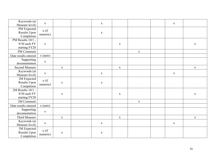| Keywords (at<br>Measure level)                     | $\mathbf X$         |             | $\mathbf X$ |             |             | $\mathbf{X}$ |             |
|----------------------------------------------------|---------------------|-------------|-------------|-------------|-------------|--------------|-------------|
| PM Expected<br>Results Upon<br>Completion          | x (if)<br>numeric)  |             | $\mathbf X$ |             |             |              |             |
| PM Results 10/1 -<br>9/30 each FY<br>starting FY20 | $\mathbf X$         |             |             | $\mathbf X$ |             |              | $\mathbf X$ |
| PM Comment                                         |                     |             |             |             | $\mathbf X$ |              |             |
| Date results entered                               | $x$ (auto)          |             |             |             |             |              |             |
| Supporting<br>documentation                        | $\mathbf X$         |             |             |             |             |              |             |
| <b>Second Measure</b>                              |                     | $\mathbf X$ |             | $\mathbf X$ |             |              | $\mathbf X$ |
| Keywords (at<br>Measure level)                     | $\mathbf X$         |             | $\mathbf X$ |             |             | $\mathbf X$  |             |
| 2M Expected<br>Results Upon<br>Completion          | $x($ if<br>numeric) | $\mathbf X$ | $\mathbf X$ |             |             |              |             |
| 2M Results 10/1 -<br>9/30 each FY<br>starting FY20 |                     | $\mathbf X$ |             | $\mathbf X$ |             |              | $\mathbf X$ |
| 2M Comment                                         |                     |             |             |             | $\mathbf X$ |              |             |
| Date results entered                               | $x$ (auto)          |             |             |             |             |              |             |
| Supporting<br>documentation                        | $\mathbf X$         |             |             |             |             |              |             |
| Third Measure                                      |                     | $\mathbf X$ |             | $\mathbf X$ |             |              | $\mathbf X$ |
| Keywords (at<br>Measure level)                     | $\mathbf X$         |             | $\mathbf X$ |             |             | $\mathbf X$  |             |
| 3M Expected<br>Results Upon<br>Completion          | $x$ (if<br>numeric) | $\mathbf X$ | $\mathbf X$ |             |             |              |             |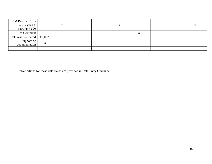| 3M Results 10/1 -<br>$9/30$ each FY<br>starting FY20 |            | X |  | $\mathbf{v}$<br>л |  | $\mathbf{v}$<br>A |
|------------------------------------------------------|------------|---|--|-------------------|--|-------------------|
| 3M Comment                                           |            |   |  |                   |  |                   |
| Date results entered                                 | $x$ (auto) |   |  |                   |  |                   |
| Supporting<br>documentation                          | X          |   |  |                   |  |                   |
|                                                      |            |   |  |                   |  |                   |

\*Definitions for these data fields are provided in Data Entry Guidance.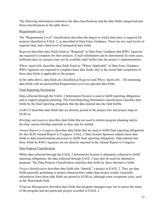The following information references the data classifications and the data fields categorized into those classifications in the table above:

# Requirement Level

The "Requirement Level" classification describes the degree to which data entry is required for projects identified in EAGL 2, as described in Data Entry Guidance. There are two such levels of required data, and a third level of unrequired data fields.

*Required* describes data fields listed as "Required" in Data Entry Guidance that RWG Agencies are required to complete for their projects, if such information can be determined. In some cases, sufficient data on a project may not be available until further into the project's implementation.

*Where Applicable* describes data fields listed as "Where Applicable" in Data Entry Guidance. RWG Agencies are required to complete these data fields only to the extent that completion of these data fields is applicable to the project.

In the table above, data fields are classified as *Required* and *Where Applicable.* All remaining data fields with an unclassified Requirement Level are optional data fields.

# Final Reporting Destination

Data collected through the EAGL 2 Information System is used to fulfill reporting obligations and to support program planning. The Final Reporting Destination classification classifies data fields by the final reporting obligation that the data entered into the field fulfills.

*GLRI.US* describes data fields that are directly posted to the project lists and project map on GLRI.us.

*Briefings and analysis* describes data fields that are used to inform program planning and to develop various briefing materials as they may be needed.

*Annual Report to Congress* describes data fields that are used to fulfill final reporting obligations for the GLRI Annual Report to Congress. EAGL 2 Data System Sponsors subject these data fields to data transformation processes to fulfill final reporting obligations. Data entered into these fields by RWG Agencies are not directly reported in the Annual Report to Congress.

# Data Purpose Classification

While data collected through the EAGL 2 Information System is ultimately collected to fulfill reporting obligations, the data collected through EAGL 2 may also be used for alternative purposes. The Data Purpose Classification classifies data fields by these alternative fields.

*Project Identification* describes data fields that "identify" a project in EAGL 2. They are data fields generally pertaining to project characteristics rather than project results. Generally, information from these data fields are posted to GLRI.us, although some exceptions exist, such as the Watersheds field.

*Program Management* describes data fields that program managers may use to assess the status of the program and any particular project recorded in EAGL 2.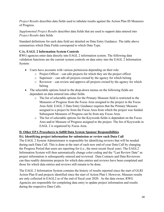*Project Results* describes data fields used to tabulate results against the Action Plan III Measures of Progress.

*Supplemental Project Results* describes data fields that are used to support data entered into *Project Results* data fields.

Standard definitions for each data field are detailed on Data Entry Guidance. The table above summarizes which Data Fields correspond to which Data Type.

# <span id="page-17-0"></span>**C.ix. EAGL 2 Information System Controls**

RWG agencies enter data directly into EAGL 2 information system. The following data validation functions are the current system controls on data entry into the EAGL 2 Information System:

- Users have accounts with various permission depending on their role:
	- o Project Officer can edit projects for which they are the project officer
	- o Superuser can edit all projects owned by the agency for which belong
	- o Reviewer can review and approve all projects owned by the agency for which belong
- The selectable options listed in the drop-down menus on the following fields are dependent on data entered into other fields.
	- o The list of selectable options for the Primary Measure field is restricted to the Measures of Progress from the Focus Area assigned to the project in the Focus Area field. EAGL 2 Data Entry Guidance requires that the Primary Measure assigned to a project be from the Focus Area from which the project was funded. Subsequent Measures of Progress can be from any Focus Area.
	- o The list of selectable options for the Keywords fields is dependent on the Focus Area and/or Measure of Progress assigned to the project. The list of Keywords in EAGL 2 is organized by Focus Area.

# <span id="page-17-1"></span>**D. Other EPA Procedures to fulfill Data System Sponsor Responsibilities**

# <span id="page-17-2"></span>**D.i. Identifying project information for submission or review each Data Call**

The EAGL 2 System Administrator is responsible for identifying reviews that will be needed during each Data Call. This is done at the start of each new end-of-year Data Call by changing the Progress Period that users are reporting for (i.e., the most recent fiscal year). The EAGL2 Information System will then automatically change color coding and the "Last Review Date" as project information is subsequently entered and reviewed. Data Contacts and Data Reviewers can thus readily determine projects for which data entries and reviews have been completed and those for which data entries and reviews still remain to be done.

The EAGL 2 Information System contains the history of results reported since the start of GLRI Action Plan II and projects identified since the start of Action Plan I. However, Measure results are only collected in EAGL2 as of the end of fiscal year 2020. As the data owner, RWG Agencies are responsible for completing data entry to update project information and results during the respective Data Calls.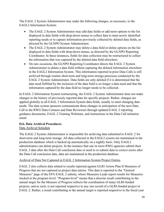The EAGL 2 System Administrator may make the following changes, as necessary, to the EAGL2 Information System:

- The EAGL 2 System Administrator may add data fields or add more options to the list displayed in data fields with drop-down menus to collect data to meet newly identified reporting needs or to capture information previously collected by deleted data fields, as directed by the GLNPO System Administrator.
- The EAGL 2 System Administrator may delete a data field or delete options on the list displayed in data fields with drop-down menus, as directed by the GLNPO Reporting Coordinator. In these instances, fields for data collection may be restructured to collect the information that was captured by the deleted data field elsewhere.
- On rare occasions, the GLNPO Reporting Coordinator directs the EAGL 2 System Administrator to delete a data field without capturing the deleted information elsewhere in the EAGL2 Information System. This information reported in prior Data Calls is still archived through routine short-term and long-term storage processes conducted by the EAGL 2 System Administrator. Data fields are only deleted if it is determined that the data need fulfilled by the inclusion of the data field is no longer a data need and that the information captured by the data field no longer needs to be collected.

In EAGL 2 Information System restructuring, the EAGL 2 System Administrator does not make changes to the history of previously reported data for specific projects. Rather, changes are applied globally to all EAGL 2 Information System data fields, usually to meet changing data needs. The data system sponsors communicate these changes in anticipation of the next Data Call to the RWG Data Contacts and Data Reviewers through updated EAGL 2 reporting guidance documents, EAGL 2 Training Webinars, and instructions in the Data Call initiation email.

# <span id="page-18-0"></span>**D.ii. Data Archival Procedures**

# Data Archival Schedule

The EAGL 2 System Administrator is responsible for archiving data submitted to EAGL 2 for short-term and long-term storage. All data collected in the EAGL2 system are maintained in the production database which is backed up automatically on a nightly basis. Only EAGL2 administrators can delete projects. In the instance that one or more RWG agencies submit their EAGL 2 data after the Data Call conclusion date or need to re-submit data to correct errors after the Data Call conclusion date, data are maintained in the production database

# Archival of Data Not Captured in EAGL 2 Information System Project Entries

EAGL 2 also collects data related to results reported against GLRI Action Plan II Measures of Progress that are not captured as project data entries. This data is reported to the "General Measures" page of the EPA EAGL 2 subsite, where Measures Leads report results for Measures tracked at the program-level. "Program-level" means that a discrete result contributing to the annual target for the Measure of Progress reflects the coordination of many GLRI-funded projects, and as such, is not reported respective to any one record of a GLRI-funded project in EAGL 2. Rather, a result contributing to the annual target is reported respective to the fiscal year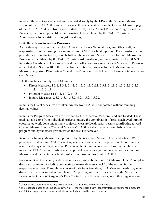in which the result was achieved and is reported solely by the EPA in the "General Measures" section of the EPA EAGL 2 subsite. Because this data is taken from the General Measures page of the USEPA EAGL 2 subsite and reported directly in the Annual Report to Congress and the President, there is no project-level information to be archived by the EAGL 2 System Administrator for short-term or long-term storage.

#### <span id="page-19-0"></span>**D.iii. Data Transformation Processes**

As the data system sponsor, the USEPA via Great Lakes National Program Office staff, is responsible for transforming data submitted to EAGL 2 for final reporting. Data transformation procedures are conducted by, or on behalf of, the respective Measure Lead for each Measure of Progress, as facilitated by the EAGL 2 System Administrator, and coordinated by the GLNPO Reporting Coordinator. Data sources and data collection processes for each Measure of Progress are included in Section 10 of the respective definition of progress for each Measure in the Measures Reporting Plan. Data is "transformed" as described below to determine total results for each Measure.

EAGL2 includes three types of Measures:

- Direct Measures: 1.2.1, 1.3.1, 2.1.1, 2.1.2, 2.1.3, 2.2.1, 2.3.1, 3.1.1, 3.1.2, 3.2.1, 3.2.2, 4.1.1, 4.1.2, 5.1.1
- Program Measures: 1.1.1, 1.1.2, 1.1.3
- Inquiry Measures: 2.3.2, 3.3.1, 3.3.2, 4.2.1, 5.2.1.,5.2.2

Results for Direct Measures are taken directly from EAGL 2 and totaled without rounding decimal values.

Results for Program Measures are provided by the respective Measure Lead and totaled. These totals do not come from individual projects; but are the combination of results achieved through coordinated work done under many projects. Measure Leads report results contributing toward General Measures in the "General Measures" EAGL 2 subsite as an accomplishment of the program and by the fiscal year in which the result is achieved.

Results for Inquiry Measures are provided by the respective Measure Lead and totaled. When projects are entered in EAGL2, RWG agencies indicate whether the project will have numeric results and may enter those results. Projects without numeric results still support applicable measures. EPA Measure Leads contact applicable agencies regarding results for these Inquiry Measures and then enter any final results from those inquiries into EAGL 2.

Following RWG data entry, independent review, and submission, EPA Measure Leads<sup>[1](#page-19-1)</sup> complete data transformation, including conducting a reasonableness check<sup>[2](#page-19-2)</sup> of the results for their respective measures. Through the course of data transformation, EPA Measure Leads may note data entry that is inconsistent with EAGL 2 reporting guidance. In such cases, the Measures Leads contact the RWG Agency's Data Contact to resolve any issues, since those agencies are

<span id="page-19-1"></span><sup>&</sup>lt;sup>1</sup> Other GLNPO staff or interns may assist Measure Leads in this and other functions.

<span id="page-19-2"></span> $2$  The reasonableness check includes a review of (i) the most significant (generally largest) results for a measure and (ii) final project results substantially lower or higher than the expected results.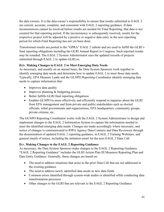the data owners. It is the data owner's responsibility to ensure that results submitted to EAGL 2 are current, accurate, complete, and consistent with EAGL 2 reporting guidance. If data inconsistencies cannot be resolved before results are needed for Final Reporting, that data is not counted for that reporting period. If the inconsistency is subsequently resolved, results for the respective project will be adjusted by a positive or negative data entry in the next reporting period for which Final Reporting has not yet been done.

Transformed results are posted to the "GPRA" EAGL 2 subsite and are used to fulfill the GLRI's final reporting obligations including the GLRI Annual Report to Congress. Such reported results may be rounded. The EAGL 2 System Administrator uses the updated records of projects submitted through EAGL 2 to update GLRI.us.

# <span id="page-20-0"></span>**D.iv. Making Changes to EAGL 2 to Meet Emerging Data Needs**

As necessary, and usually on an annual basis, the Data System Sponsors work together to identify emerging data needs and determine how to update EAGL 2 to meet those data needs. Typically, EPA Measure Leads and the GLNPO Reporting Coordinator identify emerging data needs to capture information that:

- Improves data quality
- Improves planning & budgeting process
- Better fulfills GLRI final reporting obligations
- Enables GLNPO to more effectively and efficiently respond to inquiries about the GLRI from EPA management and from private and public stakeholders such as elected officials, tribal governments and organizations, EPA headquarters, community groups, private citizens, etc.

The GLNPO Reporting Coordinator works with the EAGL 2 System Administrator to design and implement changes to the EAGL 2 Information System to capture the information needed to meet the identified emerging data needs. Changes are made accordingly where necessary, and notice of changes is communicated to RWG Agency Data Contacts and Data Reviewers through the dissemination of updated EAGL 2 reporting guidance, in EAGL 2 Training Webinars, and general emails of notice, including the initiation email for the next EAGL 2 Data Call.

# <span id="page-20-1"></span>**D.v. Making Changes to the EAGL 2 Reporting Guidance**

As necessary, the Data System Sponsors make changes to the EAGL 2 Reporting Guidance. "EAGL 2 Reporting Guidance" includes the GLRI Action Plan III Measures Reporting Plan and Data Entry Guidance. Generally, these changes are based on:

- The need to address situations that arose in the prior Data Call that are not addressed in the existing guidance
- The need to address newly identified data needs or new data fields
- Common errors identified through system-wide audits or identified while conducting data transformation processes
- Other changes to the GLRI that are relevant to the EAGL 2 Reporting Guidance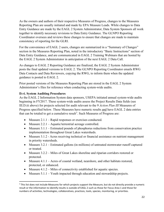As the owners and authors of their respective Measures of Progress, changes to the Measures Reporting Plan are usually initiated and made by EPA Measure Leads. While changes to Data Entry Guidance are made by the EAGL 2 System Administrator, Data System Sponsors all work together to identify necessary revisions to Data Entry Guidance. The GLNPO Reporting Coordinator oversees and reviews these changes to ensure that changes are made to maintain consistency of reporting for the GLRI.

For the convenience of EAGL 2 users, changes are summarized in a "Summary of Changes" section in the Measures Reporting Plan, noted in the introductory "Basic Instructions" section of Data Entry Guidance, and are communicated in EAGL 2 Training Webinars that are hosted by the EAGL 2 System Administrator in anticipation of the next EAGL 2 Data Call.

As changes to EAGL 2 Reporting Guidance are finalized, the EAGL 2 System Administrator posts the final updated versions to EAGL 2. The GLNPO Reporting Coordinator emails RWG Data Contacts and Data Reviewers, copying the RWG, to inform them when the updated guidance is posted to EAGL 2.

Prior posted versions of the Measures Reporting Plan are stored in the EAGL 2 System Administrator's files for reference when conducting system-wide audits.

# <span id="page-21-0"></span>**D.vi. System Auditing Procedures**

As the EAGL 2 Information System data sponsors, USEPA initiated annual system-wide audits beginning in FY2017. These system-wide audits assess the Project Results Data fields (see III.D.iii above) for projects selected for audit relevant to the 9 *Action Plan III* Measures of Progress specified below. These Measures have numeric results and have EAGL 2 data entries that can be totaled to get a cumulative result<sup>[3](#page-21-1)</sup>. Such Measures of Progress are:

- Measure 2.1.1 Rapid responses or exercises conducted.
- Measure 2.2.1 Aquatic/terrestrial acreage controlled.
- Measure 3.1.1 Estimated pounds of phosphorus reductions from conservation practice implementation throughout Great Lakes watersheds.
- Measure 3.1.2 Acres receiving technical or financial assistance on nutrient management in priority watersheds.
- Measure 3.2.1 Estimated gallons (in millions) of untreated stormwater runoff captured or treated.
- Measure 3.2.2 Miles of Great Lakes shoreline and riparian corridors restored or protected.
- Measure 4.1.1 Acres of coastal wetland, nearshore, and other habitats restored, protected, or enhanced.
- Measure  $4.1.2 -$  Miles of connectivity established for aquatic species.
- Measure 5.1.1 Youth impacted through education and stewardship projects.

<span id="page-21-1"></span><sup>&</sup>lt;sup>3</sup> This list does not include Measures for which projects support the Measure, but do not directly provide a numeric result or the information to identify results is outside of EAGL 2 such as those for Focus Area 1 and those for numbers of activities, technologies, collaboratives, practices, tools, species, monitoring, or priorities.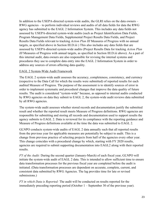In addition to the USEPA-directed system-wide audits, the GLRI relies on the data owners – RWG agencies – to perform individual reviews and audits of all data fields for data the RWG agency has submitted to the EAGL 2 Information System. This includes any data fields not assessed by USEPA-directed system-wide audits (such as Project Identification Data Fields, Program Management Data Fields, Supplemental Project Results Data Fields, and Project Results Data Fields relevant to tracking *Action Plan III* Measures of Progress with no annual targets, as specified above in Section III.D.iii ) This also includes any data fields that are assessed by USEPA-directed system-wide audits (Project Results Data for tracking *Action Plan III* Measures of Progress with annual targets, as specified in Section III.D.iii above). As a part of this internal audit, data owners are also responsible for revising the internal systems and procedures they use to complete data entry into the EAGL 2 Information System in order to address any sources of errors affecting data quality.

#### EAGL 2 System-Wide Audit Framework

The EAGL 2 system-wide audit assesses the accuracy, completeness, consistency, and currency (respective to the Data Call for which the results were submitted) of reported results for each audited Measure of Progress. The purpose of the assessment is to identify sources of error in order to implement systematic and procedural changes that improve the data quality of future results. The audit is considered "system-wide" because, as opposed to internal audits conducted by RWG agencies on data they submit to EAGL 2, the system-wide audit reviews data submitted by all RWG agencies.

The system-wide audit assesses whether stored records and documentation justify the submitted result and whether the reported result meets Measure of Progress definitions. RWG agencies are responsible for submitting and storing all records and documentation used to support results the agency submits to EAGL 2. Data is reviewed for its compliance with the reporting guidance and Measure of Progress definitions available at the time the data was submitted to EAGL 2.

GLNPO conducts system-wide audits of EAGL 2 data annually such that all reported results from the previous year for applicable measures are potentially be subject to audit. This is a change from previous practice of selecting projects from half of the agencies every other year. This change coincides with a procedural change by which, starting with FY 2020 results, agencies are required to submit supporting documentation into EAGL2 along with their reported results.

*FY of the Audit:* During the second quarter (January-March) of each fiscal year, GLNPO will initiate the system-wide audit of EAGL 2 data. This is intended to allow sufficient time to ensure data transformation processes for the previous fiscal year are completed before the audit is initiated. (Data transformation processes are dependent on accurate, complete, current, and consistent data submitted by RWG Agencies. The lag provides time for late or revised submissions.)

*FY in which Data is Reported:* The audit will be conducted on results reported for the immediately preceding reporting period (October 1 – September 30 of the previous year).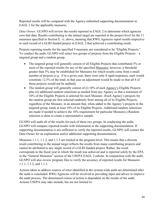Reported results will be compared with the Agency-submitted supporting documentation in EAGL 2 for the applicable measures.

*Data Owner:* GLNPO will review the results reported in EAGL 2 to determine which agencies own that data. Results contributing to the annual target are reported at the project-level for the 11 measures specified in Section E. vi. above, meaning that RWG Agencies report results respective to each record of a GLRI-funded project in EAGL 2 that achieved a contributing result.

Projects reporting results for the specified 9 measures are considered to be "Eligible Projects." To conduct the audit, GLNPO will select two groups of projects from the Eligible Projects – a targeted group and a random group.

- The targeted group will generally consist of all Eligible Projects that contributed 5% or more of the reported results for any of the specified Measures; however, a threshold greater than 5% may be established for Measures for which results come from a small number of projects (*e.g.,* if in a given year, there were only 8 rapid responses, each would constitute 12.5% of the total; in that case an adjustment would be made so that all 8 of those projects would not be audited).
- The random group will generally consist of (i) 10% of each Agency's Eligible Projects plus (ii) additional random selections as needed from any Agency so that a minimum of 10% of the Eligible Projects is selected for each Measure. (Each Agency's projects for the random group are first selected randomly from among all of its Eligible Projects, regardless of the Measure, in an amount that, when added to the Agency's projects in the targeted group, totals at least 10% of its Eligible Projects. Additional random selections are made if needed to achieve the 10% requirement for particular Measures.) Random selection is done to create a representative sample.

GLNPO will audit all of the results for each of these two groups. In conducting the audit, GLNPO will compare reported results with information in the supporting documentation. If supporting documentation is not sufficient to verify the reported results, GLNPO will contact the Data Owner for an explanation and/or additional supporting documentation.

Measures 1.1.1, 1.1.2, and 1.1.3 are tracked at the program-level. This means that a discrete result contributing to the annual target reflects the results from many contributing projects and cannot be attributed to any single record of a GLRI-funded project. Rather, the result corresponds to the fiscal year in which the result was achieved and is reported solely by the EPA in the "General Measures" section of the USEPA EAGL 2 subsite. In conjunction with the audit, GLNPO will also review program files to verify the accuracy of reported results for Measures 1.1.1, 1.1.2, and 1.1.3.

Actions taken to address sources of error identified in the system-wide audit are determined after the audit is concluded. RWG Agencies will be involved in providing input and advice to improve the audit process. The determined course of action is dependent on the results of the audit. Actions USEPA may take include, but are not limited to: